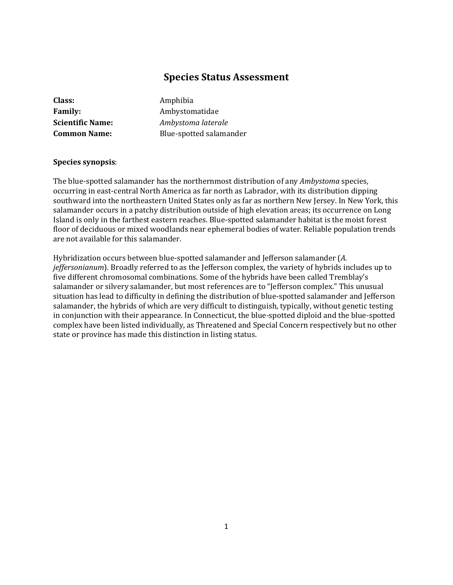# **Species Status Assessment**

| Class:                  |
|-------------------------|
| <b>Family:</b>          |
| <b>Scientific Name:</b> |
| <b>Common Name:</b>     |

**Class:** Amphibia **Family:** Ambystomatidae **Scientific Name:** *Ambystoma laterale* **Common Name:** Blue-spotted salamander

## **Species synopsis**:

The blue-spotted salamander has the northernmost distribution of any *Ambystoma* species, occurring in east-central North America as far north as Labrador, with its distribution dipping southward into the northeastern United States only as far as northern New Jersey. In New York, this salamander occurs in a patchy distribution outside of high elevation areas; its occurrence on Long Island is only in the farthest eastern reaches. Blue-spotted salamander habitat is the moist forest floor of deciduous or mixed woodlands near ephemeral bodies of water. Reliable population trends are not available for this salamander.

Hybridization occurs between blue-spotted salamander and Jefferson salamander (*A. jeffersonianum*). Broadly referred to as the Jefferson complex, the variety of hybrids includes up to five different chromosomal combinations. Some of the hybrids have been called Tremblay's salamander or silvery salamander, but most references are to "Jefferson complex." This unusual situation has lead to difficulty in defining the distribution of blue-spotted salamander and Jefferson salamander, the hybrids of which are very difficult to distinguish, typically, without genetic testing in conjunction with their appearance. In Connecticut, the blue-spotted diploid and the blue-spotted complex have been listed individually, as Threatened and Special Concern respectively but no other state or province has made this distinction in listing status.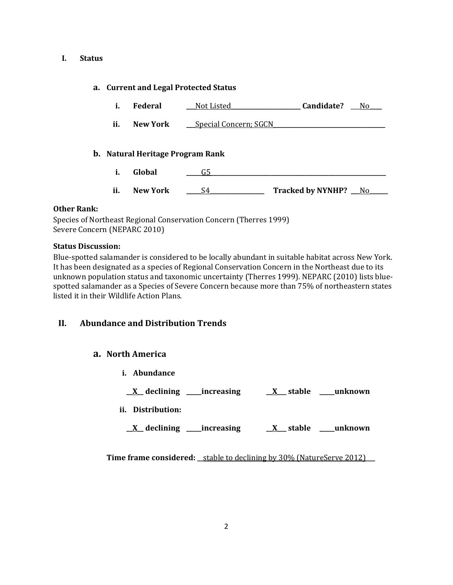### **I. Status**

## **a. Current and Legal Protected Status**

- **i. Federal \_\_\_**Not Listed**\_\_\_\_\_\_\_\_\_\_\_\_\_\_\_\_\_\_\_\_\_\_\_ Candidate?** \_\_\_No**\_\_\_\_**
- **ii. New York Special Concern; SGCN**

# **b. Natural Heritage Program Rank**

- **i. Global \_\_\_\_\_**G5**\_\_\_\_\_\_\_\_\_\_\_\_\_\_\_\_\_\_\_\_\_\_\_\_\_\_\_\_\_\_\_\_\_\_\_\_\_\_\_\_\_\_\_\_\_\_\_\_\_\_\_\_\_\_\_\_\_\_**
- **ii. New York \_\_\_\_\_**S4**\_\_\_\_\_\_\_\_\_\_\_\_\_\_\_\_\_\_ Tracked by NYNHP? \_\_\_**No**\_\_\_\_\_\_**

## **Other Rank:**

Species of Northeast Regional Conservation Concern (Therres 1999) Severe Concern (NEPARC 2010)

## **Status Discussion:**

Blue-spotted salamander is considered to be locally abundant in suitable habitat across New York. It has been designated as a species of Regional Conservation Concern in the Northeast due to its unknown population status and taxonomic uncertainty (Therres 1999). NEPARC (2010) lists bluespotted salamander as a Species of Severe Concern because more than 75% of northeastern states listed it in their Wildlife Action Plans.

# **II. Abundance and Distribution Trends**

# **a. North America**

- **i. Abundance**
- **\_\_X\_\_ declining \_\_\_\_\_increasing \_\_X\_\_\_ stable \_\_\_\_\_unknown**
- **ii. Distribution:**
	- **\_\_X\_\_ declining \_\_\_\_\_increasing \_\_X\_\_\_ stable \_\_\_\_\_unknown**

**Time frame considered:** \_\_stable to declining by 30% (NatureServe 2012)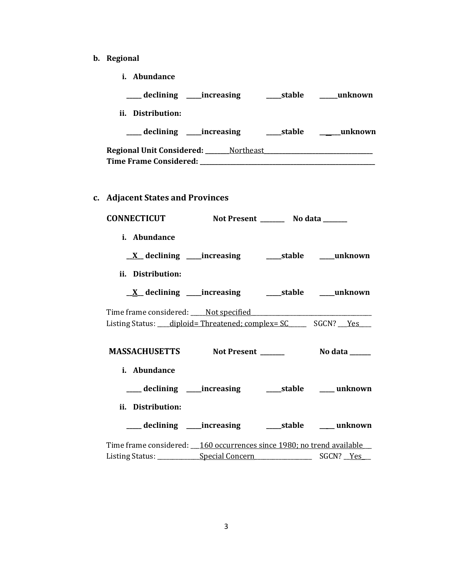- **b. Regional**
	- **i. Abundance**

| ___ declining ____increasing ______stable _____unknown                                                                                 |  |                                                         |
|----------------------------------------------------------------------------------------------------------------------------------------|--|---------------------------------------------------------|
| ii. Distribution:                                                                                                                      |  |                                                         |
|                                                                                                                                        |  | ___ declining ____increasing ______stable ______unknown |
|                                                                                                                                        |  |                                                         |
| c. Adjacent States and Provinces                                                                                                       |  |                                                         |
| CONNECTICUT Not Present ________ No data ______                                                                                        |  |                                                         |
| i. Abundance                                                                                                                           |  |                                                         |
|                                                                                                                                        |  |                                                         |
| ii. Distribution:                                                                                                                      |  |                                                         |
| <u>X</u> declining ____increasing ______stable ____unknown                                                                             |  |                                                         |
| Time frame considered: ____ Not specified _________________<br>Listing Status: ___ diploid= Threatened; complex= SC _____ SGCN? __ Yes |  |                                                         |
| MASSACHUSETTS Not Present ______                                                                                                       |  | <b>No data</b> ______                                   |
| i. Abundance                                                                                                                           |  |                                                         |
| ___ declining ____ increasing ______ stable _____ unknown                                                                              |  |                                                         |
| ii. Distribution:                                                                                                                      |  |                                                         |
|                                                                                                                                        |  |                                                         |
| Time frame considered: __ 160 occurrences since 1980; no trend available                                                               |  |                                                         |
|                                                                                                                                        |  |                                                         |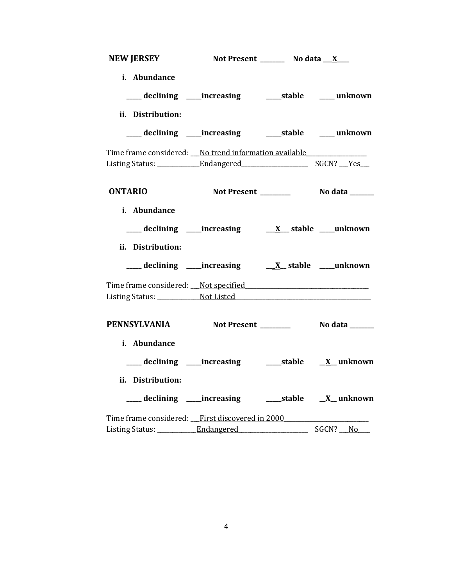| NEW JERSEY Not Present ________ No data __ X___          |  |          |
|----------------------------------------------------------|--|----------|
| i. Abundance                                             |  |          |
| ii. Distribution:                                        |  |          |
| ____ declining ____ increasing _____ stable ____ unknown |  |          |
| Time frame considered: No trend information available    |  |          |
|                                                          |  |          |
| <b>ONTARIO</b>                                           |  |          |
| i. Abundance                                             |  |          |
|                                                          |  |          |
| ii. Distribution:                                        |  |          |
|                                                          |  |          |
|                                                          |  |          |
|                                                          |  |          |
| PENNSYLVANIA Not Present ________ No data _____          |  |          |
| i. Abundance                                             |  |          |
|                                                          |  |          |
| ii. Distribution:                                        |  |          |
| ___ declining ____increasing ______stable ___ X__unknown |  |          |
| Time frame considered: First discovered in 2000          |  |          |
|                                                          |  | SGCN? No |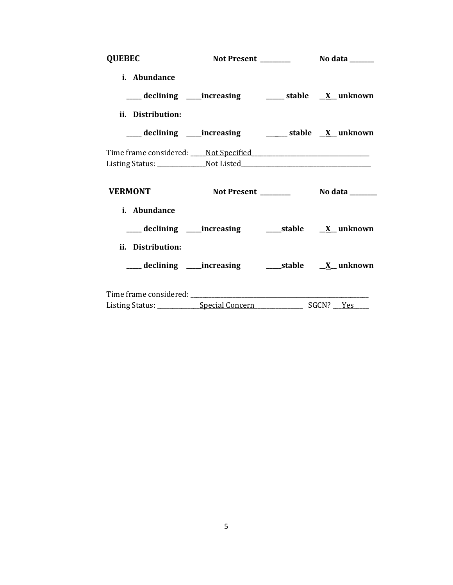| <b>QUEBEC</b>     |                                                                                   |  |
|-------------------|-----------------------------------------------------------------------------------|--|
| i. Abundance      |                                                                                   |  |
|                   | ___ declining ____increasing _______ stable __ <u>X</u> _unknown                  |  |
| ii. Distribution: |                                                                                   |  |
|                   | ___ declining ____increasing _________ stable __X__ unknown                       |  |
|                   | Time frame considered: Not Specified                                              |  |
|                   | Listing Status: ___________________Not Listed ___________________________________ |  |
|                   |                                                                                   |  |
|                   |                                                                                   |  |
| <b>VERMONT</b>    |                                                                                   |  |
| i. Abundance      |                                                                                   |  |
|                   | ___ declining ____increasing ______stable _____X__ unknown                        |  |
| ii. Distribution: |                                                                                   |  |
|                   | ___ declining ____increasing ______stable _____X__ unknown                        |  |
|                   |                                                                                   |  |
|                   |                                                                                   |  |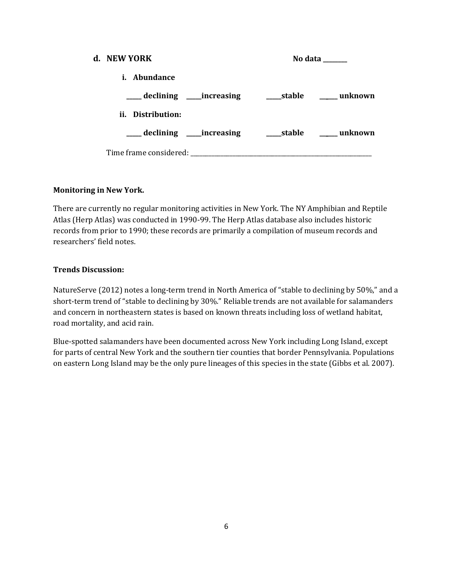| d. NEW YORK                    |                               |        | No data |
|--------------------------------|-------------------------------|--------|---------|
| <i>i.</i> Abundance            |                               |        |         |
| ____ declining _____increasing |                               | stable | unknown |
| ii. Distribution:              |                               |        |         |
|                                | ___ declining _____increasing |        |         |
| Time frame considered:         |                               |        |         |

# **Monitoring in New York.**

There are currently no regular monitoring activities in New York. The NY Amphibian and Reptile Atlas (Herp Atlas) was conducted in 1990-99. The Herp Atlas database also includes historic records from prior to 1990; these records are primarily a compilation of museum records and researchers' field notes.

## **Trends Discussion:**

NatureServe (2012) notes a long-term trend in North America of "stable to declining by 50%," and a short-term trend of "stable to declining by 30%." Reliable trends are not available for salamanders and concern in northeastern states is based on known threats including loss of wetland habitat, road mortality, and acid rain.

Blue-spotted salamanders have been documented across New York including Long Island, except for parts of central New York and the southern tier counties that border Pennsylvania. Populations on eastern Long Island may be the only pure lineages of this species in the state (Gibbs et al. 2007).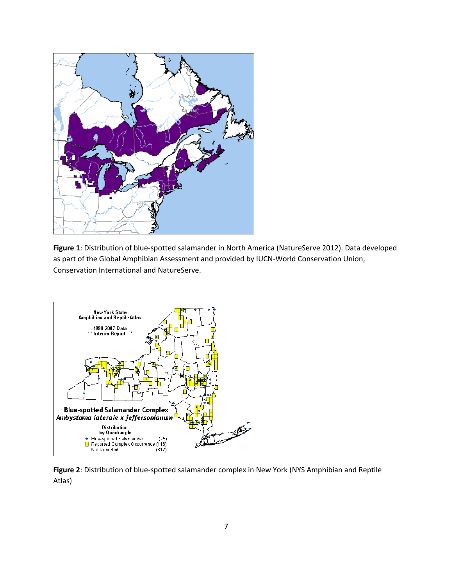

**Figure 1**: Distribution of blue-spotted salamander in North America (NatureServe 2012). Data developed as part of the Global Amphibian Assessment and provided by IUCN-World Conservation Union, Conservation International and NatureServe.



**Figure 2**: Distribution of blue-spotted salamander complex in New York (NYS Amphibian and Reptile Atlas)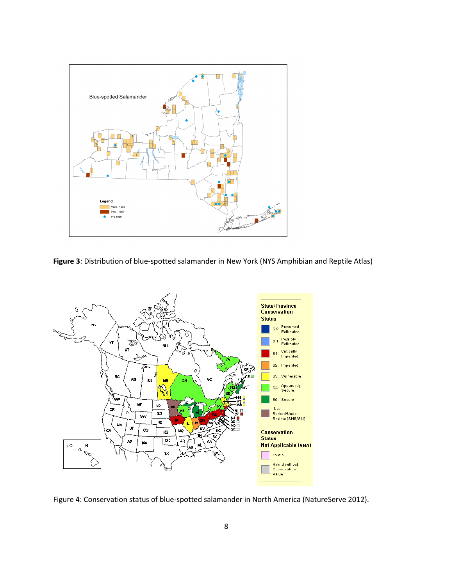

**Figure 3**: Distribution of blue-spotted salamander in New York (NYS Amphibian and Reptile Atlas)



Figure 4: Conservation status of blue-spotted salamander in North America (NatureServe 2012).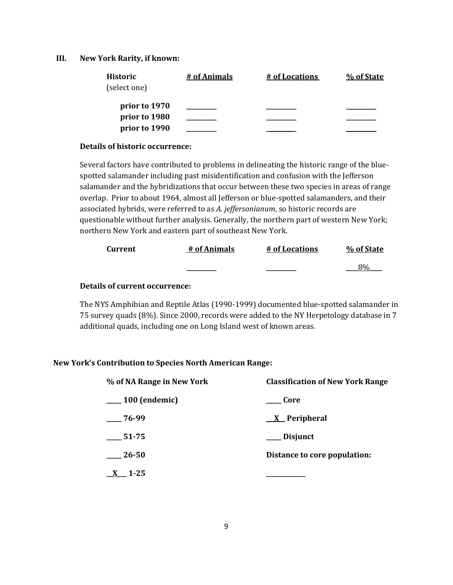### **III. New York Rarity, if known:**

| <b>Historic</b> | # of Animals | # of Locations | % of State |
|-----------------|--------------|----------------|------------|
| (select one)    |              |                |            |
| prior to 1970   |              |                |            |
| prior to 1980   |              |                |            |
| prior to 1990   |              |                |            |

### **Details of historic occurrence:**

Several factors have contributed to problems in delineating the historic range of the bluespotted salamander including past misidentification and confusion with the Jefferson salamander and the hybridizations that occur between these two species in areas of range overlap. Prior to about 1964, almost all Jefferson or blue-spotted salamanders, and their associated hybrids, were referred to as *A. jeffersonianum*, so historic records are questionable without further analysis. Generally, the northern part of western New York; northern New York and eastern part of southeast New York.

| Current | # of Animals | # of Locations | % of State |
|---------|--------------|----------------|------------|
|         | _______      |                |            |

# **Details of current occurrence:**

The NYS Amphibian and Reptile Atlas (1990-1999) documented blue-spotted salamander in 75 survey quads (8%). Since 2000, records were added to the NY Herpetology database in 7 additional quads, including one on Long Island west of known areas.

## **New York's Contribution to Species North American Range:**

| % of NA Range in New York | <b>Classification of New York Range</b> |  |
|---------------------------|-----------------------------------------|--|
| $\sim$ 100 (endemic)      | Core                                    |  |
| 76-99                     | $\underline{X}$ Peripheral              |  |
| 51-75                     | Disjunct                                |  |
| 26-50                     | Distance to core population:            |  |
| $1 - 25$                  |                                         |  |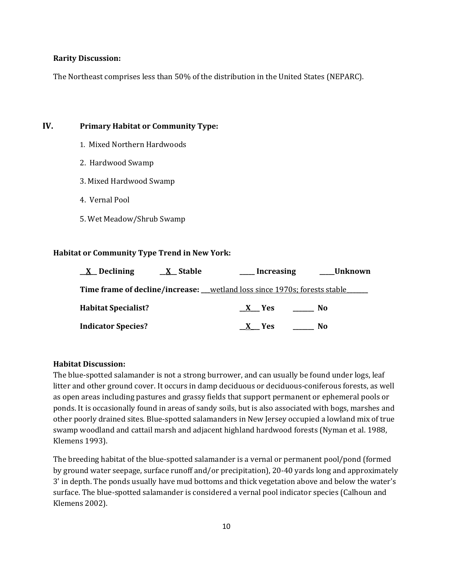#### **Rarity Discussion:**

The Northeast comprises less than 50% of the distribution in the United States (NEPARC).

# **IV. Primary Habitat or Community Type:**

- 1. Mixed Northern Hardwoods
- 2. Hardwood Swamp
- 3. Mixed Hardwood Swamp
- 4. Vernal Pool
- 5. Wet Meadow/Shrub Swamp

### **Habitat or Community Type Trend in New York:**

| $\underline{X}$ Declining                                                  | <u>X</u> Stable | Increasing | Unknown |  |
|----------------------------------------------------------------------------|-----------------|------------|---------|--|
| Time frame of decline/increase: __wetland loss since 1970s; forests stable |                 |            |         |  |
| <b>Habitat Specialist?</b>                                                 |                 | X Yes      | No.     |  |
| <b>Indicator Species?</b>                                                  |                 | X Yes      | No.     |  |

#### **Habitat Discussion:**

The blue-spotted salamander is not a strong burrower, and can usually be found under logs, leaf litter and other ground cover. It occurs in damp deciduous or deciduous-coniferous forests, as well as open areas including pastures and grassy fields that support permanent or ephemeral pools or ponds. It is occasionally found in areas of sandy soils, but is also associated with bogs, marshes and other poorly drained sites. Blue-spotted salamanders in New Jersey occupied a lowland mix of true swamp woodland and cattail marsh and adjacent highland hardwood forests (Nyman et al. 1988, Klemens 1993).

The breeding habitat of the blue-spotted salamander is a vernal or permanent pool/pond (formed by ground water seepage, surface runoff and/or precipitation), 20-40 yards long and approximately 3' in depth. The ponds usually have mud bottoms and thick vegetation above and below the water's surface. The blue-spotted salamander is considered a vernal pool indicator species (Calhoun and Klemens 2002).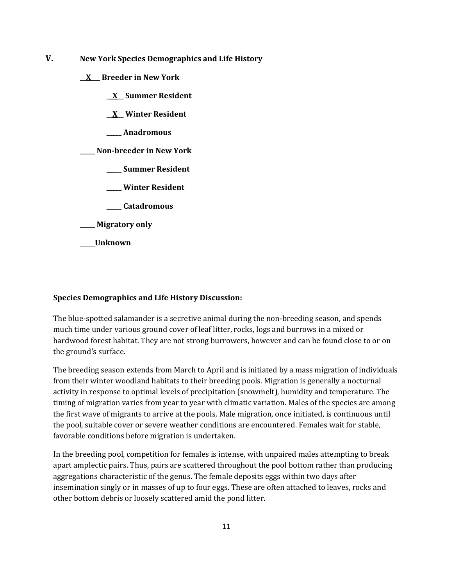- **V. New York Species Demographics and Life History**
	- **\_\_X\_\_\_ Breeder in New York**
		- **\_\_X\_\_ Summer Resident**
		- **\_\_X\_\_ Winter Resident**
		- **\_\_\_\_\_ Anadromous**

**\_\_\_\_\_ Non-breeder in New York**

- **\_\_\_\_\_ Summer Resident**
- **\_\_\_\_\_ Winter Resident**
- **\_\_\_\_\_ Catadromous**
- **\_\_\_\_\_ Migratory only**
- **\_\_\_\_\_Unknown**

### **Species Demographics and Life History Discussion:**

The blue-spotted salamander is a secretive animal during the non-breeding season, and spends much time under various ground cover of leaf litter, rocks, logs and burrows in a mixed or hardwood forest habitat. They are not strong burrowers, however and can be found close to or on the ground's surface.

The breeding season extends from March to April and is initiated by a mass migration of individuals from their winter woodland habitats to their breeding pools. Migration is generally a nocturnal activity in response to optimal levels of precipitation (snowmelt), humidity and temperature. The timing of migration varies from year to year with climatic variation. Males of the species are among the first wave of migrants to arrive at the pools. Male migration, once initiated, is continuous until the pool, suitable cover or severe weather conditions are encountered. Females wait for stable, favorable conditions before migration is undertaken.

In the breeding pool, competition for females is intense, with unpaired males attempting to break apart amplectic pairs. Thus, pairs are scattered throughout the pool bottom rather than producing aggregations characteristic of the genus. The female deposits eggs within two days after insemination singly or in masses of up to four eggs. These are often attached to leaves, rocks and other bottom debris or loosely scattered amid the pond litter.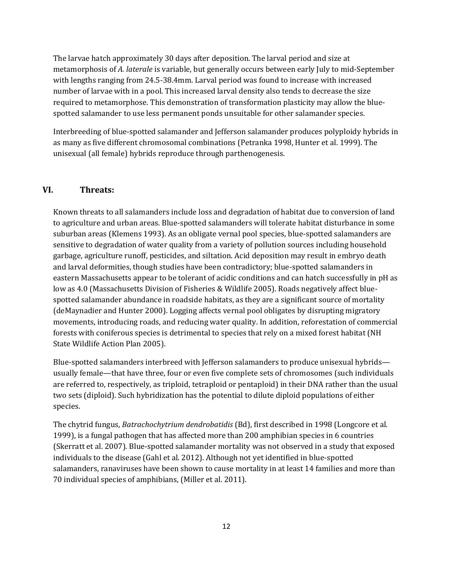The larvae hatch approximately 30 days after deposition. The larval period and size at metamorphosis of *A. laterale* is variable, but generally occurs between early July to mid-September with lengths ranging from 24.5-38.4mm. Larval period was found to increase with increased number of larvae with in a pool. This increased larval density also tends to decrease the size required to metamorphose. This demonstration of transformation plasticity may allow the bluespotted salamander to use less permanent ponds unsuitable for other salamander species.

Interbreeding of blue-spotted salamander and Jefferson salamander produces polyploidy hybrids in as many as five different chromosomal combinations (Petranka 1998, Hunter et al. 1999). The unisexual (all female) hybrids reproduce through parthenogenesis.

### **VI. Threats:**

Known threats to all salamanders include loss and degradation of habitat due to conversion of land to agriculture and urban areas. Blue-spotted salamanders will tolerate habitat disturbance in some suburban areas (Klemens 1993). As an obligate vernal pool species, blue-spotted salamanders are sensitive to degradation of water quality from a variety of pollution sources including household garbage, agriculture runoff, pesticides, and siltation. Acid deposition may result in embryo death and larval deformities, though studies have been contradictory; blue-spotted salamanders in eastern Massachusetts appear to be tolerant of acidic conditions and can hatch successfully in pH as low as 4.0 (Massachusetts Division of Fisheries & Wildlife 2005). Roads negatively affect bluespotted salamander abundance in roadside habitats, as they are a significant source of mortality (deMaynadier and Hunter 2000). Logging affects vernal pool obligates by disrupting migratory movements, introducing roads, and reducing water quality. In addition, reforestation of commercial forests with coniferous species is detrimental to species that rely on a mixed forest habitat (NH State Wildlife Action Plan 2005).

Blue-spotted salamanders interbreed with Jefferson salamanders to produce unisexual hybrids usually female—that have three, four or even five complete sets of chromosomes (such individuals are referred to, respectively, as triploid, tetraploid or pentaploid) in their DNA rather than the usual two sets (diploid). Such hybridization has the potential to dilute diploid populations of either species.

The chytrid fungus, *Batrachochytrium dendrobatidis* (Bd), first described in 1998 (Longcore et al. 1999), is a fungal pathogen that has affected more than 200 amphibian species in 6 countries (Skerratt et al. 2007). Blue-spotted salamander mortality was not observed in a study that exposed individuals to the disease (Gahl et al. 2012). Although not yet identified in blue-spotted salamanders, ranaviruses have been shown to cause mortality in at least 14 families and more than 70 individual species of amphibians, (Miller et al. 2011).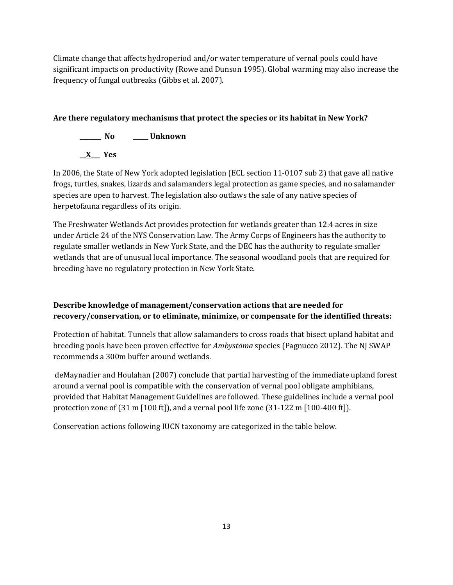Climate change that affects hydroperiod and/or water temperature of vernal pools could have significant impacts on productivity (Rowe and Dunson 1995). Global warming may also increase the frequency of fungal outbreaks (Gibbs et al. 2007).

# **Are there regulatory mechanisms that protect the species or its habitat in New York?**



In 2006, the State of New York adopted legislation (ECL section 11-0107 sub 2) that gave all native frogs, turtles, snakes, lizards and salamanders legal protection as game species, and no salamander species are open to harvest. The legislation also outlaws the sale of any native species of herpetofauna regardless of its origin.

The Freshwater Wetlands Act provides protection for wetlands greater than 12.4 acres in size under Article 24 of the NYS Conservation Law. The Army Corps of Engineers has the authority to regulate smaller wetlands in New York State, and the DEC has the authority to regulate smaller wetlands that are of unusual local importance. The seasonal woodland pools that are required for breeding have no regulatory protection in New York State.

# **Describe knowledge of management/conservation actions that are needed for recovery/conservation, or to eliminate, minimize, or compensate for the identified threats:**

Protection of habitat. Tunnels that allow salamanders to cross roads that bisect upland habitat and breeding pools have been proven effective for *Ambystoma* species (Pagnucco 2012). The NJ SWAP recommends a 300m buffer around wetlands.

deMaynadier and Houlahan (2007) conclude that partial harvesting of the immediate upland forest around a vernal pool is compatible with the conservation of vernal pool obligate amphibians, provided that Habitat Management Guidelines are followed. These guidelines include a vernal pool protection zone of  $(31 \text{ m } [100 \text{ ft}])$ , and a vernal pool life zone  $(31-122 \text{ m } [100-400 \text{ ft}])$ .

Conservation actions following IUCN taxonomy are categorized in the table below.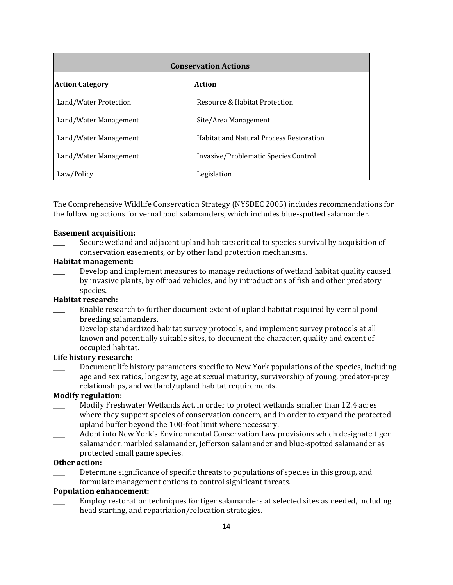| <b>Conservation Actions</b> |                                                |  |
|-----------------------------|------------------------------------------------|--|
| <b>Action Category</b>      | Action                                         |  |
| Land/Water Protection       | Resource & Habitat Protection                  |  |
| Land/Water Management       | Site/Area Management                           |  |
| Land/Water Management       | <b>Habitat and Natural Process Restoration</b> |  |
| Land/Water Management       | Invasive/Problematic Species Control           |  |
| Law/Policy                  | Legislation                                    |  |

The Comprehensive Wildlife Conservation Strategy (NYSDEC 2005) includes recommendations for the following actions for vernal pool salamanders, which includes blue-spotted salamander.

### **Easement acquisition:**

Secure wetland and adjacent upland habitats critical to species survival by acquisition of conservation easements, or by other land protection mechanisms.

### **Habitat management:**

Develop and implement measures to manage reductions of wetland habitat quality caused by invasive plants, by offroad vehicles, and by introductions of fish and other predatory species.

## **Habitat research:**

- Enable research to further document extent of upland habitat required by vernal pond breeding salamanders.
- Develop standardized habitat survey protocols, and implement survey protocols at all known and potentially suitable sites, to document the character, quality and extent of occupied habitat.

### **Life history research:**

Document life history parameters specific to New York populations of the species, including age and sex ratios, longevity, age at sexual maturity, survivorship of young, predator-prey relationships, and wetland/upland habitat requirements.

# **Modify regulation:**

- \_\_\_\_ Modify Freshwater Wetlands Act, in order to protect wetlands smaller than 12.4 acres where they support species of conservation concern, and in order to expand the protected upland buffer beyond the 100-foot limit where necessary.
- \_\_\_\_ Adopt into New York's Environmental Conservation Law provisions which designate tiger salamander, marbled salamander, Jefferson salamander and blue-spotted salamander as protected small game species.

## **Other action:**

Determine significance of specific threats to populations of species in this group, and formulate management options to control significant threats.

## **Population enhancement:**

\_\_\_\_ Employ restoration techniques for tiger salamanders at selected sites as needed, including head starting, and repatriation/relocation strategies.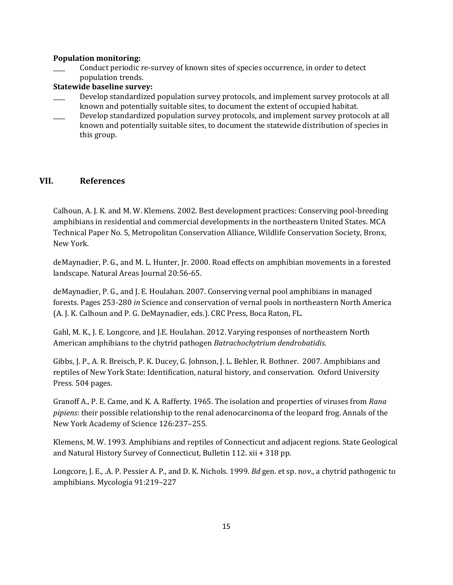### **Population monitoring:**

\_\_\_\_ Conduct periodic re-survey of known sites of species occurrence, in order to detect population trends.

## **Statewide baseline survey:**

- Develop standardized population survey protocols, and implement survey protocols at all known and potentially suitable sites, to document the extent of occupied habitat.
- Develop standardized population survey protocols, and implement survey protocols at all known and potentially suitable sites, to document the statewide distribution of species in this group.

## **VII. References**

Calhoun, A. J. K. and M. W. Klemens. 2002. Best development practices: Conserving pool-breeding amphibians in residential and commercial developments in the northeastern United States. MCA Technical Paper No. 5, Metropolitan Conservation Alliance, Wildlife Conservation Society, Bronx, New York.

deMaynadier, P. G., and M. L. Hunter, Jr. 2000. Road effects on amphibian movements in a forested landscape. Natural Areas Journal 20:56-65.

deMaynadier, P. G., and J. E. Houlahan. 2007. Conserving vernal pool amphibians in managed forests. Pages 253-280 *in* Science and conservation of vernal pools in northeastern North America (A. J. K. Calhoun and P. G. DeMaynadier, eds.). CRC Press, Boca Raton, FL.

Gahl, M. K., J. E. Longcore, and J.E. Houlahan. 2012. Varying responses of northeastern North American amphibians to the chytrid pathogen *Batrachochytrium dendrobatidis.*

Gibbs, J. P., A. R. Breisch, P. K. Ducey, G. Johnson, J. L. Behler, R. Bothner. 2007. Amphibians and reptiles of New York State: Identification, natural history, and conservation. Oxford University Press. 504 pages.

Granoff A., P. E. Came, and K. A. Rafferty. 1965. The isolation and properties of viruses from *Rana pipiens*: their possible relationship to the renal adenocarcinoma of the leopard frog. Annals of the New York Academy of Science 126:237–255.

Klemens, M. W. 1993. Amphibians and reptiles of Connecticut and adjacent regions. State Geological and Natural History Survey of Connecticut, Bulletin 112. xii + 318 pp.

Longcore, J. E., .A. P. Pessier A. P., and D. K. Nichols. 1999. *Bd* gen. et sp. nov., a chytrid pathogenic to amphibians. Mycologia 91:219–227